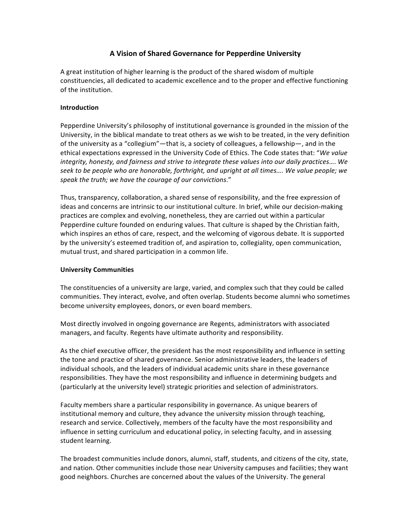# **A Vision of Shared Governance for Pepperdine University**

A great institution of higher learning is the product of the shared wisdom of multiple constituencies, all dedicated to academic excellence and to the proper and effective functioning of the institution.

### **Introduction**

Pepperdine University's philosophy of institutional governance is grounded in the mission of the University, in the biblical mandate to treat others as we wish to be treated, in the very definition of the university as a "collegium"—that is, a society of colleagues, a fellowship—, and in the ethical expectations expressed in the University Code of Ethics. The Code states that: "We value integrity, honesty, and fairness and strive to integrate these values into our daily practices.... We *seek to be people who are honorable, forthright, and upright at all times…. We value people; we speak the truth; we have the courage of our convictions*." 

Thus, transparency, collaboration, a shared sense of responsibility, and the free expression of ideas and concerns are intrinsic to our institutional culture. In brief, while our decision-making practices are complex and evolving, nonetheless, they are carried out within a particular Pepperdine culture founded on enduring values. That culture is shaped by the Christian faith, which inspires an ethos of care, respect, and the welcoming of vigorous debate. It is supported by the university's esteemed tradition of, and aspiration to, collegiality, open communication, mutual trust, and shared participation in a common life.

#### **University Communities**

The constituencies of a university are large, varied, and complex such that they could be called communities. They interact, evolve, and often overlap. Students become alumni who sometimes become university employees, donors, or even board members.

Most directly involved in ongoing governance are Regents, administrators with associated managers, and faculty. Regents have ultimate authority and responsibility.

As the chief executive officer, the president has the most responsibility and influence in setting the tone and practice of shared governance. Senior administrative leaders, the leaders of individual schools, and the leaders of individual academic units share in these governance responsibilities. They have the most responsibility and influence in determining budgets and (particularly at the university level) strategic priorities and selection of administrators.

Faculty members share a particular responsibility in governance. As unique bearers of institutional memory and culture, they advance the university mission through teaching, research and service. Collectively, members of the faculty have the most responsibility and influence in setting curriculum and educational policy, in selecting faculty, and in assessing student learning.

The broadest communities include donors, alumni, staff, students, and citizens of the city, state, and nation. Other communities include those near University campuses and facilities; they want good neighbors. Churches are concerned about the values of the University. The general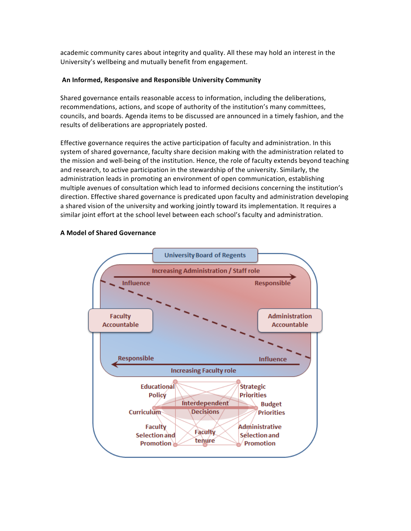academic community cares about integrity and quality. All these may hold an interest in the University's wellbeing and mutually benefit from engagement.

### An Informed, Responsive and Responsible University Community

Shared governance entails reasonable access to information, including the deliberations, recommendations, actions, and scope of authority of the institution's many committees, councils, and boards. Agenda items to be discussed are announced in a timely fashion, and the results of deliberations are appropriately posted.

Effective governance requires the active participation of faculty and administration. In this system of shared governance, faculty share decision making with the administration related to the mission and well-being of the institution. Hence, the role of faculty extends beyond teaching and research, to active participation in the stewardship of the university. Similarly, the administration leads in promoting an environment of open communication, establishing multiple avenues of consultation which lead to informed decisions concerning the institution's direction. Effective shared governance is predicated upon faculty and administration developing a shared vision of the university and working jointly toward its implementation. It requires a similar joint effort at the school level between each school's faculty and administration.

## **A Model of Shared Governance**